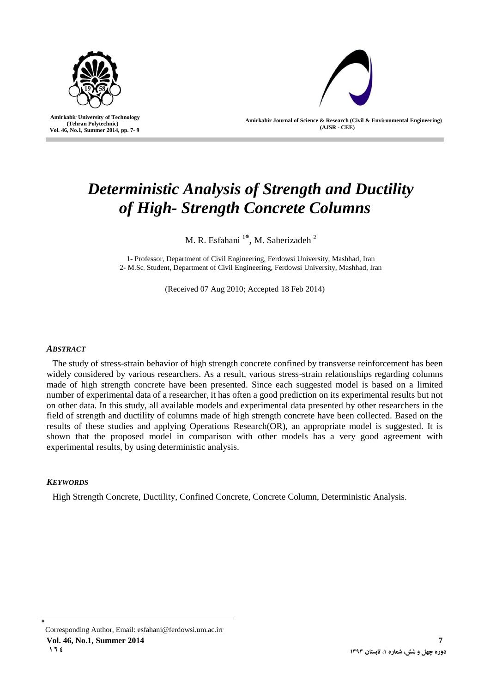

 **Amirkabir University of Technology (Tehran Polytechnic) Vol. 46, No.1, Summer 2014, pp. 7- 9**

l



**Amirkabir Journal of Science & Research (Civil & Environmental Engineering) (AJSR - CEE)**

# *Deterministic Analysis of Strength and Ductility of High- Strength Concrete Columns*

M. R. Esfahani<sup>1\*</sup>, M. Saberizadeh<sup>2</sup>

1- Professor, Department of Civil Engineering, Ferdowsi University, Mashhad, Iran 2- M.Sc Student, Department of Civil Engineering, Ferdowsi University, Mashhad, Iran

(Received 07 Aug 2010; Accepted 18 Feb 2014)

## *ABSTRACT*

The study of stress-strain behavior of high strength concrete confined by transverse reinforcement has been widely considered by various researchers. As a result, various stress-strain relationships regarding columns made of high strength concrete have been presented. Since each suggested model is based on a limited number of experimental data of a researcher, it has often a good prediction on its experimental results but not on other data. In this study, all available models and experimental data presented by other researchers in the field of strength and ductility of columns made of high strength concrete have been collected. Based on the results of these studies and applying Operations Research(OR), an appropriate model is suggested. It is shown that the proposed model in comparison with other models has a very good agreement with experimental results, by using deterministic analysis.

## *KEYWORDS*

High Strength Concrete, Ductility, Confined Concrete, Concrete Column, Deterministic Analysis.

<sup>٭</sup> Corresponding Author, Email: [esfahani@ferdowsi.um.ac.irr](mailto:esfahani@um.ac.ir) **Vol. 46, No.1, Summer 2014 7**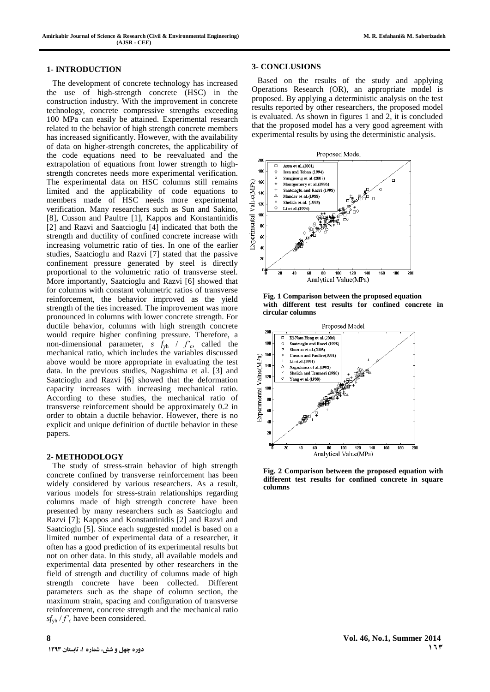#### **1- INTRODUCTION**

The development of concrete technology has increased the use of high-strength concrete (HSC) in the construction industry. With the improvement in concrete technology, concrete compressive strengths exceeding 100 MPa can easily be attained. Experimental research related to the behavior of high strength concrete members has increased significantly. However, with the availability of data on higher-strength concretes, the applicability of the code equations need to be reevaluated and the extrapolation of equations from lower strength to highstrength concretes needs more experimental verification. The experimental data on HSC columns still remains limited and the applicability of code equations to members made of HSC needs more experimental verification. Many researchers such as Sun and Sakino, [8], Cusson and Paultre [1], Kappos and Konstantinidis [2] and Razvi and Saatcioglu [4] indicated that both the strength and ductility of confined concrete increase with increasing volumetric ratio of ties. In one of the earlier studies, Saatcioglu and Razvi [7] stated that the passive confinement pressure generated by steel is directly proportional to the volumetric ratio of transverse steel. More importantly, Saatcioglu and Razvi [6] showed that for columns with constant volumetric ratios of transverse reinforcement, the behavior improved as the yield strength of the ties increased. The improvement was more pronounced in columns with lower concrete strength. For ductile behavior, columns with high strength concrete would require higher confining pressure. Therefore, a non-dimensional parameter,  $s f_{yh} / f'_{c}$ , called the mechanical ratio, which includes the variables discussed above would be more appropriate in evaluating the test data. In the previous studies, Nagashima et al. [3] and Saatcioglu and Razvi [6] showed that the deformation capacity increases with increasing mechanical ratio. According to these studies, the mechanical ratio of transverse reinforcement should be approximately 0.2 in order to obtain a ductile behavior. However, there is no explicit and unique definition of ductile behavior in these papers.

#### **2- METHODOLOGY**

The study of stress-strain behavior of high strength concrete confined by transverse reinforcement has been widely considered by various researchers. As a result, various models for stress-strain relationships regarding columns made of high strength concrete have been presented by many researchers such as Saatcioglu and Razvi [7]; Kappos and Konstantinidis [2] and Razvi and Saatcioglu [5]. Since each suggested model is based on a limited number of experimental data of a researcher, it often has a good prediction of its experimental results but not on other data. In this study, all available models and experimental data presented by other researchers in the field of strength and ductility of columns made of high strength concrete have been collected. Different parameters such as the shape of column section, the maximum strain, spacing and configuration of transverse reinforcement, concrete strength and the mechanical ratio  $sf_{\text{vh}}$  / $f$ <sup>'</sup><sub>c</sub> have been considered.

Based on the results of the study and applying Operations Research (OR), an appropriate model is proposed. By applying a deterministic analysis on the test results reported by other researchers, the proposed model is evaluated. As shown in figures 1 and 2, it is concluded that the proposed model has a very good agreement with experimental results by using the deterministic analysis.



**Fig. 1 Comparison between the proposed equation with different test results for confined concrete in circular columns**



**Fig. 2 Comparison between the proposed equation with different test results for confined concrete in square columns**